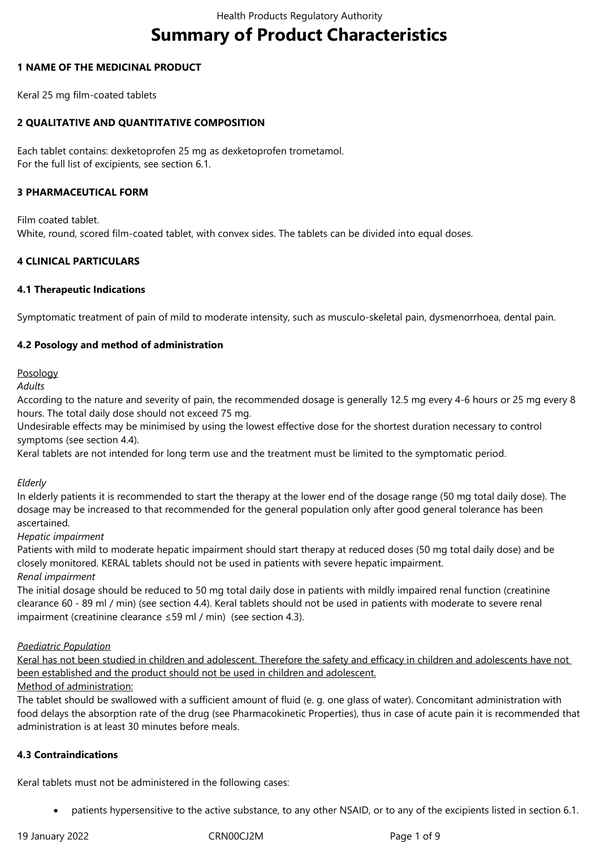# **Summary of Product Characteristics**

# **1 NAME OF THE MEDICINAL PRODUCT**

Keral 25 mg film-coated tablets

# **2 QUALITATIVE AND QUANTITATIVE COMPOSITION**

Each tablet contains: dexketoprofen 25 mg as dexketoprofen trometamol. For the full list of excipients, see section 6.1.

# **3 PHARMACEUTICAL FORM**

Film coated tablet. White, round, scored film-coated tablet, with convex sides. The tablets can be divided into equal doses.

# **4 CLINICAL PARTICULARS**

# **4.1 Therapeutic Indications**

Symptomatic treatment of pain of mild to moderate intensity, such as musculo-skeletal pain, dysmenorrhoea, dental pain.

# **4.2 Posology and method of administration**

Posology

*Adults*

According to the nature and severity of pain, the recommended dosage is generally 12.5 mg every 4-6 hours or 25 mg every 8 hours. The total daily dose should not exceed 75 mg.

Undesirable effects may be minimised by using the lowest effective dose for the shortest duration necessary to control symptoms (see section 4.4).

Keral tablets are not intended for long term use and the treatment must be limited to the symptomatic period.

# *Elderly*

In elderly patients it is recommended to start the therapy at the lower end of the dosage range (50 mg total daily dose). The dosage may be increased to that recommended for the general population only after good general tolerance has been ascertained.

#### *Hepatic impairment*

Patients with mild to moderate hepatic impairment should start therapy at reduced doses (50 mg total daily dose) and be closely monitored. KERAL tablets should not be used in patients with severe hepatic impairment. *Renal impairment*

The initial dosage should be reduced to 50 mg total daily dose in patients with mildly impaired renal function (creatinine clearance 60 - 89 ml / min) (see section 4.4). Keral tablets should not be used in patients with moderate to severe renal impairment (creatinine clearance ≤59 ml / min) (see section 4.3).

#### *Paediatric Population*

Keral has not been studied in children and adolescent. Therefore the safety and efficacy in children and adolescents have not been established and the product should not be used in children and adolescent.

# Method of administration:

The tablet should be swallowed with a sufficient amount of fluid (e. g. one glass of water). Concomitant administration with food delays the absorption rate of the drug (see Pharmacokinetic Properties), thus in case of acute pain it is recommended that administration is at least 30 minutes before meals.

# **4.3 Contraindications**

Keral tablets must not be administered in the following cases:

patients hypersensitive to the active substance, to any other NSAID, or to any of the excipients listed in section 6.1.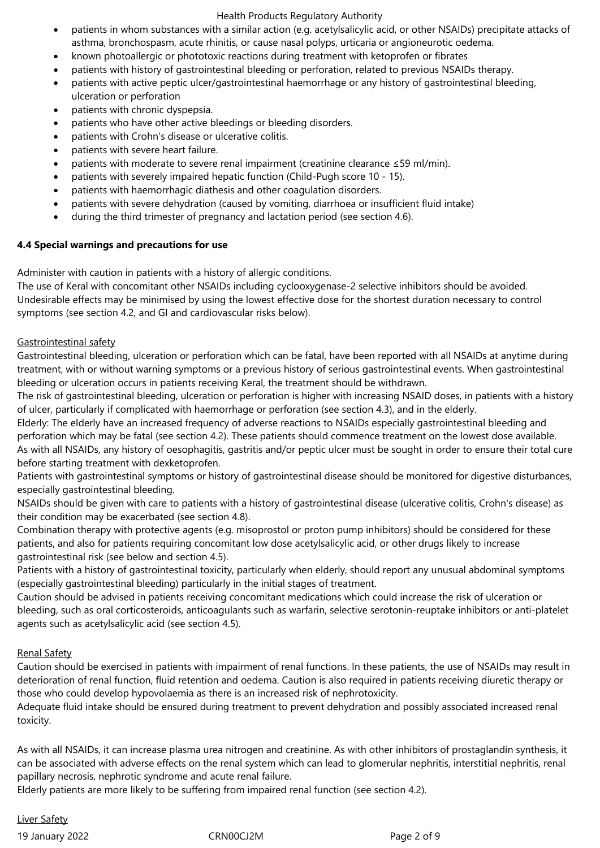- patients in whom substances with a similar action (e.g. acetylsalicylic acid, or other NSAIDs) precipitate attacks of asthma, bronchospasm, acute rhinitis, or cause nasal polyps, urticaria or angioneurotic oedema.
- known photoallergic or phototoxic reactions during treatment with ketoprofen or fibrates
- patients with history of gastrointestinal bleeding or perforation, related to previous NSAIDs therapy.
- patients with active peptic ulcer/gastrointestinal haemorrhage or any history of gastrointestinal bleeding, ulceration or perforation
- patients with chronic dyspepsia.
- patients who have other active bleedings or bleeding disorders.
- patients with Crohn's disease or ulcerative colitis.
- patients with severe heart failure.
- patients with moderate to severe renal impairment (creatinine clearance ≤59 ml/min).
- patients with severely impaired hepatic function (Child-Pugh score 10 15).
- patients with haemorrhagic diathesis and other coagulation disorders.
- patients with severe dehydration (caused by vomiting, diarrhoea or insufficient fluid intake)
- during the third trimester of pregnancy and lactation period (see section 4.6).

# **4.4 Special warnings and precautions for use**

Administer with caution in patients with a history of allergic conditions.

The use of Keral with concomitant other NSAIDs including cyclooxygenase-2 selective inhibitors should be avoided. Undesirable effects may be minimised by using the lowest effective dose for the shortest duration necessary to control symptoms (see section 4.2, and GI and cardiovascular risks below).

# Gastrointestinal safety

Gastrointestinal bleeding, ulceration or perforation which can be fatal, have been reported with all NSAIDs at anytime during treatment, with or without warning symptoms or a previous history of serious gastrointestinal events. When gastrointestinal bleeding or ulceration occurs in patients receiving Keral, the treatment should be withdrawn.

The risk of gastrointestinal bleeding, ulceration or perforation is higher with increasing NSAID doses, in patients with a history of ulcer, particularly if complicated with haemorrhage or perforation (see section 4.3), and in the elderly.

Elderly: The elderly have an increased frequency of adverse reactions to NSAIDs especially gastrointestinal bleeding and perforation which may be fatal (see section 4.2). These patients should commence treatment on the lowest dose available. As with all NSAIDs, any history of oesophagitis, gastritis and/or peptic ulcer must be sought in order to ensure their total cure before starting treatment with dexketoprofen.

Patients with gastrointestinal symptoms or history of gastrointestinal disease should be monitored for digestive disturbances, especially gastrointestinal bleeding.

NSAIDs should be given with care to patients with a history of gastrointestinal disease (ulcerative colitis, Crohn's disease) as their condition may be exacerbated (see section 4.8).

Combination therapy with protective agents (e.g. misoprostol or proton pump inhibitors) should be considered for these patients, and also for patients requiring concomitant low dose acetylsalicylic acid, or other drugs likely to increase gastrointestinal risk (see below and section 4.5).

Patients with a history of gastrointestinal toxicity, particularly when elderly, should report any unusual abdominal symptoms (especially gastrointestinal bleeding) particularly in the initial stages of treatment.

Caution should be advised in patients receiving concomitant medications which could increase the risk of ulceration or bleeding, such as oral corticosteroids, anticoagulants such as warfarin, selective serotonin-reuptake inhibitors or anti-platelet agents such as acetylsalicylic acid (see section 4.5).

# Renal Safety

Caution should be exercised in patients with impairment of renal functions. In these patients, the use of NSAIDs may result in deterioration of renal function, fluid retention and oedema. Caution is also required in patients receiving diuretic therapy or those who could develop hypovolaemia as there is an increased risk of nephrotoxicity.

Adequate fluid intake should be ensured during treatment to prevent dehydration and possibly associated increased renal toxicity.

As with all NSAIDs, it can increase plasma urea nitrogen and creatinine. As with other inhibitors of prostaglandin synthesis, it can be associated with adverse effects on the renal system which can lead to glomerular nephritis, interstitial nephritis, renal papillary necrosis, nephrotic syndrome and acute renal failure.

Elderly patients are more likely to be suffering from impaired renal function (see section 4.2).

19 January 2022 CRN00CJ2M Page 2 of 9 Liver Safety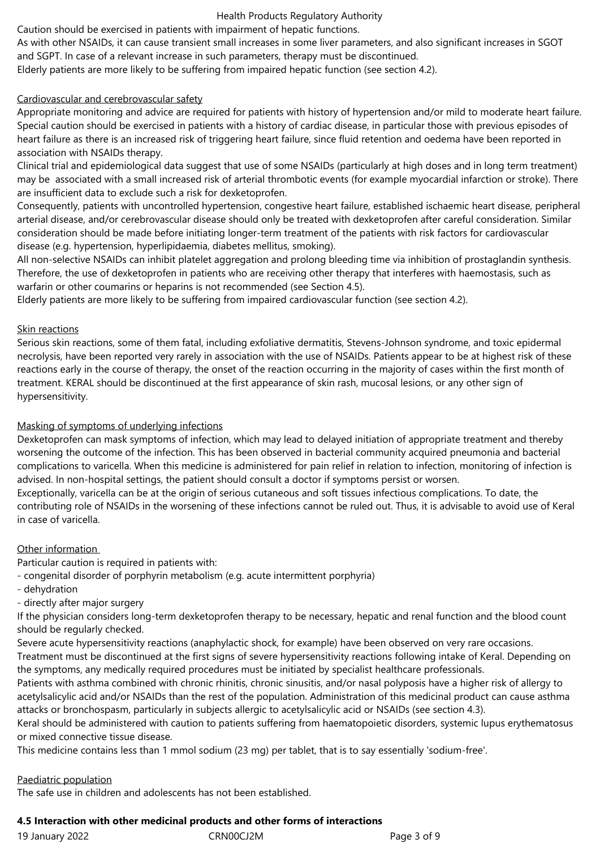Caution should be exercised in patients with impairment of hepatic functions.

As with other NSAIDs, it can cause transient small increases in some liver parameters, and also significant increases in SGOT and SGPT. In case of a relevant increase in such parameters, therapy must be discontinued.

Elderly patients are more likely to be suffering from impaired hepatic function (see section 4.2).

# Cardiovascular and cerebrovascular safety

Appropriate monitoring and advice are required for patients with history of hypertension and/or mild to moderate heart failure. Special caution should be exercised in patients with a history of cardiac disease, in particular those with previous episodes of heart failure as there is an increased risk of triggering heart failure, since fluid retention and oedema have been reported in association with NSAIDs therapy.

Clinical trial and epidemiological data suggest that use of some NSAIDs (particularly at high doses and in long term treatment) may be associated with a small increased risk of arterial thrombotic events (for example myocardial infarction or stroke). There are insufficient data to exclude such a risk for dexketoprofen.

Consequently, patients with uncontrolled hypertension, congestive heart failure, established ischaemic heart disease, peripheral arterial disease, and/or cerebrovascular disease should only be treated with dexketoprofen after careful consideration. Similar consideration should be made before initiating longer-term treatment of the patients with risk factors for cardiovascular disease (e.g. hypertension, hyperlipidaemia, diabetes mellitus, smoking).

All non-selective NSAIDs can inhibit platelet aggregation and prolong bleeding time via inhibition of prostaglandin synthesis. Therefore, the use of dexketoprofen in patients who are receiving other therapy that interferes with haemostasis, such as warfarin or other coumarins or heparins is not recommended (see Section 4.5).

Elderly patients are more likely to be suffering from impaired cardiovascular function (see section 4.2).

#### Skin reactions

Serious skin reactions, some of them fatal, including exfoliative dermatitis, Stevens-Johnson syndrome, and toxic epidermal necrolysis, have been reported very rarely in association with the use of NSAIDs. Patients appear to be at highest risk of these reactions early in the course of therapy, the onset of the reaction occurring in the majority of cases within the first month of treatment. KERAL should be discontinued at the first appearance of skin rash, mucosal lesions, or any other sign of hypersensitivity.

#### Masking of symptoms of underlying infections

Dexketoprofen can mask symptoms of infection, which may lead to delayed initiation of appropriate treatment and thereby worsening the outcome of the infection. This has been observed in bacterial community acquired pneumonia and bacterial complications to varicella. When this medicine is administered for pain relief in relation to infection, monitoring of infection is advised. In non-hospital settings, the patient should consult a doctor if symptoms persist or worsen.

Exceptionally, varicella can be at the origin of serious cutaneous and soft tissues infectious complications. To date, the contributing role of NSAIDs in the worsening of these infections cannot be ruled out. Thus, it is advisable to avoid use of Keral in case of varicella.

# Other information

Particular caution is required in patients with:

- congenital disorder of porphyrin metabolism (e.g. acute intermittent porphyria)

- dehydration
- directly after major surgery

If the physician considers long-term dexketoprofen therapy to be necessary, hepatic and renal function and the blood count should be regularly checked.

Severe acute hypersensitivity reactions (anaphylactic shock, for example) have been observed on very rare occasions.

Treatment must be discontinued at the first signs of severe hypersensitivity reactions following intake of Keral. Depending on the symptoms, any medically required procedures must be initiated by specialist healthcare professionals.

Patients with asthma combined with chronic rhinitis, chronic sinusitis, and/or nasal polyposis have a higher risk of allergy to acetylsalicylic acid and/or NSAIDs than the rest of the population. Administration of this medicinal product can cause asthma attacks or bronchospasm, particularly in subjects allergic to acetylsalicylic acid or NSAIDs (see section 4.3).

Keral should be administered with caution to patients suffering from haematopoietic disorders, systemic lupus erythematosus or mixed connective tissue disease.

This medicine contains less than 1 mmol sodium (23 mg) per tablet, that is to say essentially 'sodium-free'.

#### Paediatric population

The safe use in children and adolescents has not been established.

#### **4.5 Interaction with other medicinal products and other forms of interactions**

| 19 January 2022 |  |
|-----------------|--|
|                 |  |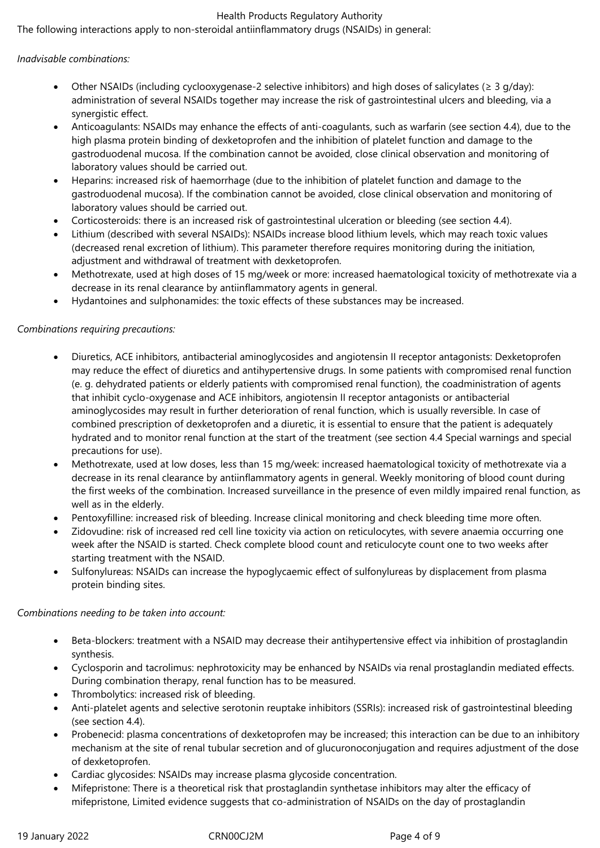The following interactions apply to non-steroidal antiinflammatory drugs (NSAIDs) in general:

# *Inadvisable combinations:*

- Other NSAIDs (including cyclooxygenase-2 selective inhibitors) and high doses of salicylates ( $\geq 3$  g/day): administration of several NSAIDs together may increase the risk of gastrointestinal ulcers and bleeding, via a synergistic effect.
- Anticoagulants: NSAIDs may enhance the effects of anti-coagulants, such as warfarin (see section 4.4), due to the high plasma protein binding of dexketoprofen and the inhibition of platelet function and damage to the gastroduodenal mucosa. If the combination cannot be avoided, close clinical observation and monitoring of laboratory values should be carried out.
- Heparins: increased risk of haemorrhage (due to the inhibition of platelet function and damage to the gastroduodenal mucosa). If the combination cannot be avoided, close clinical observation and monitoring of laboratory values should be carried out.
- Corticosteroids: there is an increased risk of gastrointestinal ulceration or bleeding (see section 4.4).
- Lithium (described with several NSAIDs): NSAIDs increase blood lithium levels, which may reach toxic values (decreased renal excretion of lithium). This parameter therefore requires monitoring during the initiation, adjustment and withdrawal of treatment with dexketoprofen.
- Methotrexate, used at high doses of 15 mg/week or more: increased haematological toxicity of methotrexate via a decrease in its renal clearance by antiinflammatory agents in general.
- Hydantoines and sulphonamides: the toxic effects of these substances may be increased.

# *Combinations requiring precautions:*

- Diuretics, ACE inhibitors, antibacterial aminoglycosides and angiotensin II receptor antagonists: Dexketoprofen may reduce the effect of diuretics and antihypertensive drugs. In some patients with compromised renal function (e. g. dehydrated patients or elderly patients with compromised renal function), the coadministration of agents that inhibit cyclo-oxygenase and ACE inhibitors, angiotensin II receptor antagonists or antibacterial aminoglycosides may result in further deterioration of renal function, which is usually reversible. In case of combined prescription of dexketoprofen and a diuretic, it is essential to ensure that the patient is adequately hydrated and to monitor renal function at the start of the treatment (see section 4.4 Special warnings and special precautions for use).
- Methotrexate, used at low doses, less than 15 mg/week: increased haematological toxicity of methotrexate via a decrease in its renal clearance by antiinflammatory agents in general. Weekly monitoring of blood count during the first weeks of the combination. Increased surveillance in the presence of even mildly impaired renal function, as well as in the elderly.
- Pentoxyfilline: increased risk of bleeding. Increase clinical monitoring and check bleeding time more often.
- Zidovudine: risk of increased red cell line toxicity via action on reticulocytes, with severe anaemia occurring one week after the NSAID is started. Check complete blood count and reticulocyte count one to two weeks after starting treatment with the NSAID.
- Sulfonylureas: NSAIDs can increase the hypoglycaemic effect of sulfonylureas by displacement from plasma protein binding sites.

#### *Combinations needing to be taken into account:*

- Beta-blockers: treatment with a NSAID may decrease their antihypertensive effect via inhibition of prostaglandin synthesis.
- Cyclosporin and tacrolimus: nephrotoxicity may be enhanced by NSAIDs via renal prostaglandin mediated effects. During combination therapy, renal function has to be measured.
- Thrombolytics: increased risk of bleeding.
- Anti-platelet agents and selective serotonin reuptake inhibitors (SSRIs): increased risk of gastrointestinal bleeding (see section 4.4).
- Probenecid: plasma concentrations of dexketoprofen may be increased; this interaction can be due to an inhibitory mechanism at the site of renal tubular secretion and of glucuronoconjugation and requires adjustment of the dose of dexketoprofen.
- Cardiac glycosides: NSAIDs may increase plasma glycoside concentration.
- Mifepristone: There is a theoretical risk that prostaglandin synthetase inhibitors may alter the efficacy of mifepristone, Limited evidence suggests that co-administration of NSAIDs on the day of prostaglandin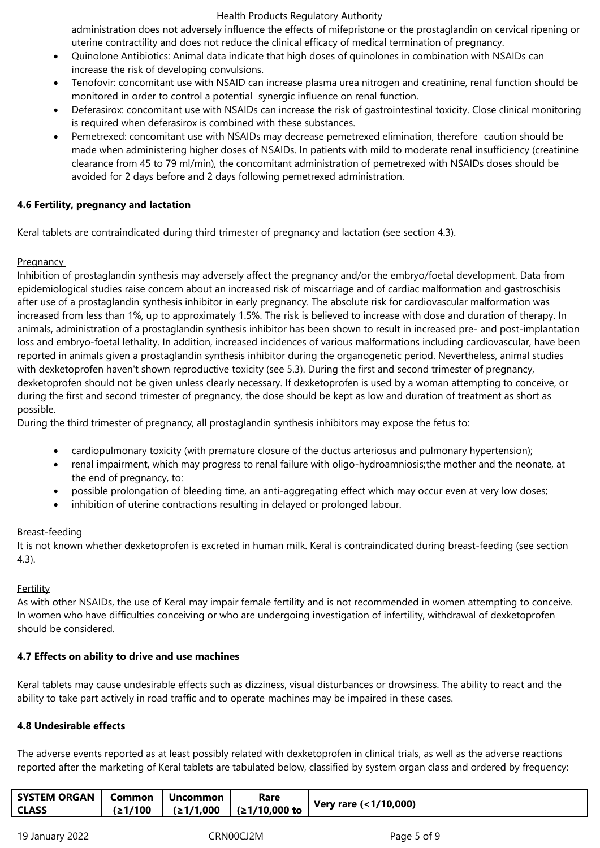administration does not adversely influence the effects of mifepristone or the prostaglandin on cervical ripening or uterine contractility and does not reduce the clinical efficacy of medical termination of pregnancy.

- Quinolone Antibiotics: Animal data indicate that high doses of quinolones in combination with NSAIDs can increase the risk of developing convulsions.
- Tenofovir: concomitant use with NSAID can increase plasma urea nitrogen and creatinine, renal function should be monitored in order to control a potential synergic influence on renal function.
- Deferasirox: concomitant use with NSAIDs can increase the risk of gastrointestinal toxicity. Close clinical monitoring is required when deferasirox is combined with these substances.
- Pemetrexed: concomitant use with NSAIDs may decrease pemetrexed elimination, therefore caution should be made when administering higher doses of NSAIDs. In patients with mild to moderate renal insufficiency (creatinine clearance from 45 to 79 ml/min), the concomitant administration of pemetrexed with NSAIDs doses should be avoided for 2 days before and 2 days following pemetrexed administration.

# **4.6 Fertility, pregnancy and lactation**

Keral tablets are contraindicated during third trimester of pregnancy and lactation (see section 4.3).

# **Pregnancy**

Inhibition of prostaglandin synthesis may adversely affect the pregnancy and/or the embryo/foetal development. Data from epidemiological studies raise concern about an increased risk of miscarriage and of cardiac malformation and gastroschisis after use of a prostaglandin synthesis inhibitor in early pregnancy. The absolute risk for cardiovascular malformation was increased from less than 1%, up to approximately 1.5%. The risk is believed to increase with dose and duration of therapy. In animals, administration of a prostaglandin synthesis inhibitor has been shown to result in increased pre- and post-implantation loss and embryo-foetal lethality. In addition, increased incidences of various malformations including cardiovascular, have been reported in animals given a prostaglandin synthesis inhibitor during the organogenetic period. Nevertheless, animal studies with dexketoprofen haven't shown reproductive toxicity (see 5.3). During the first and second trimester of pregnancy, dexketoprofen should not be given unless clearly necessary. If dexketoprofen is used by a woman attempting to conceive, or during the first and second trimester of pregnancy, the dose should be kept as low and duration of treatment as short as possible.

During the third trimester of pregnancy, all prostaglandin synthesis inhibitors may expose the fetus to:

- cardiopulmonary toxicity (with premature closure of the ductus arteriosus and pulmonary hypertension);
- renal impairment, which may progress to renal failure with oligo-hydroamniosis;the mother and the neonate, at the end of pregnancy, to:
- possible prolongation of bleeding time, an anti-aggregating effect which may occur even at very low doses;
- inhibition of uterine contractions resulting in delayed or prolonged labour.

# Breast-feeding

It is not known whether dexketoprofen is excreted in human milk. Keral is contraindicated during breast-feeding (see section 4.3).

# **Fertility**

As with other NSAIDs, the use of Keral may impair female fertility and is not recommended in women attempting to conceive. In women who have difficulties conceiving or who are undergoing investigation of infertility, withdrawal of dexketoprofen should be considered.

# **4.7 Effects on ability to drive and use machines**

Keral tablets may cause undesirable effects such as dizziness, visual disturbances or drowsiness. The ability to react and the ability to take part actively in road traffic and to operate machines may be impaired in these cases.

# **4.8 Undesirable effects**

The adverse events reported as at least possibly related with dexketoprofen in clinical trials, as well as the adverse reactions reported after the marketing of Keral tablets are tabulated below, classified by system organ class and ordered by frequency:

| <b>SYSTEM ORGAN   Common</b> | Uncommon | Rare                                  | Very rare (<1/10,000) |
|------------------------------|----------|---------------------------------------|-----------------------|
| <b>CLASS</b>                 |          | (≥1/100  │ (≥1/1,000  │ (≥1/10,000 to |                       |
|                              |          |                                       |                       |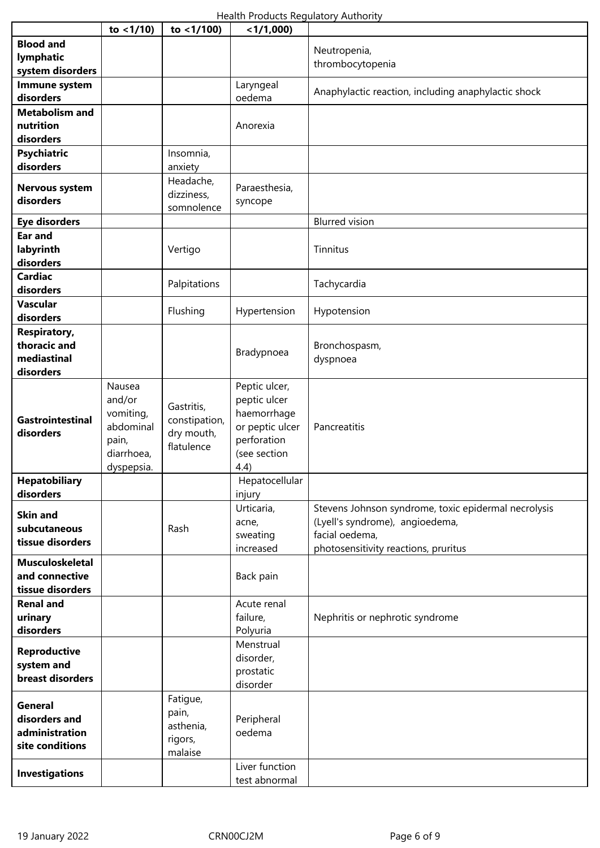|                                          | to $<$ 1/10)           | to $<$ 1/100) | $<$ 1/1,000)                   |                                                                                         |
|------------------------------------------|------------------------|---------------|--------------------------------|-----------------------------------------------------------------------------------------|
| <b>Blood and</b>                         |                        |               |                                |                                                                                         |
| lymphatic                                |                        |               |                                | Neutropenia,                                                                            |
| system disorders                         |                        |               |                                | thrombocytopenia                                                                        |
| Immune system                            |                        |               | Laryngeal                      |                                                                                         |
| disorders                                |                        |               | oedema                         | Anaphylactic reaction, including anaphylactic shock                                     |
| <b>Metabolism and</b>                    |                        |               |                                |                                                                                         |
| nutrition                                |                        |               | Anorexia                       |                                                                                         |
| disorders                                |                        |               |                                |                                                                                         |
| <b>Psychiatric</b>                       |                        | Insomnia,     |                                |                                                                                         |
| disorders                                |                        | anxiety       |                                |                                                                                         |
|                                          |                        | Headache,     |                                |                                                                                         |
| <b>Nervous system</b>                    |                        | dizziness,    | Paraesthesia,                  |                                                                                         |
| disorders                                |                        | somnolence    | syncope                        |                                                                                         |
| <b>Eye disorders</b>                     |                        |               |                                | <b>Blurred</b> vision                                                                   |
| <b>Ear and</b>                           |                        |               |                                |                                                                                         |
| labyrinth                                |                        | Vertigo       |                                | Tinnitus                                                                                |
| disorders                                |                        |               |                                |                                                                                         |
| <b>Cardiac</b>                           |                        |               |                                |                                                                                         |
| disorders                                |                        | Palpitations  |                                | Tachycardia                                                                             |
| Vascular                                 |                        |               |                                |                                                                                         |
| disorders                                |                        | Flushing      | Hypertension                   | Hypotension                                                                             |
| <b>Respiratory,</b>                      |                        |               |                                |                                                                                         |
| thoracic and                             |                        |               |                                |                                                                                         |
| mediastinal                              |                        |               | Bradypnoea                     | Bronchospasm,                                                                           |
| disorders                                |                        |               |                                | dyspnoea                                                                                |
|                                          |                        |               |                                |                                                                                         |
|                                          | Nausea<br>and/or       |               | Peptic ulcer,                  |                                                                                         |
|                                          |                        | Gastritis,    | peptic ulcer                   |                                                                                         |
| Gastrointestinal                         | vomiting,<br>abdominal | constipation, | haemorrhage<br>or peptic ulcer | Pancreatitis                                                                            |
| disorders                                |                        | dry mouth,    |                                |                                                                                         |
|                                          | pain,<br>diarrhoea,    | flatulence    | perforation<br>(see section    |                                                                                         |
|                                          |                        |               |                                |                                                                                         |
| <b>Hepatobiliary</b>                     | dyspepsia.             |               | 4.4)                           |                                                                                         |
| disorders                                |                        |               | Hepatocellular                 |                                                                                         |
|                                          |                        |               | injury                         |                                                                                         |
| <b>Skin and</b>                          |                        |               | Urticaria,                     | Stevens Johnson syndrome, toxic epidermal necrolysis<br>(Lyell's syndrome), angioedema, |
| subcutaneous                             |                        | Rash          | acne,                          | facial oedema,                                                                          |
| tissue disorders                         |                        |               | sweating                       |                                                                                         |
|                                          |                        |               | increased                      | photosensitivity reactions, pruritus                                                    |
| <b>Musculoskeletal</b><br>and connective |                        |               |                                |                                                                                         |
|                                          |                        |               | Back pain                      |                                                                                         |
| tissue disorders                         |                        |               |                                |                                                                                         |
| <b>Renal and</b>                         |                        |               | Acute renal                    |                                                                                         |
| urinary                                  |                        |               | failure,                       | Nephritis or nephrotic syndrome                                                         |
| disorders                                |                        |               | Polyuria                       |                                                                                         |
| <b>Reproductive</b>                      |                        |               | Menstrual                      |                                                                                         |
| system and                               |                        |               | disorder,                      |                                                                                         |
| breast disorders                         |                        |               | prostatic                      |                                                                                         |
|                                          |                        |               | disorder                       |                                                                                         |
| General                                  |                        | Fatigue,      |                                |                                                                                         |
| disorders and                            |                        | pain,         | Peripheral                     |                                                                                         |
| administration                           |                        | asthenia,     | oedema                         |                                                                                         |
| site conditions                          |                        | rigors,       |                                |                                                                                         |
|                                          |                        | malaise       |                                |                                                                                         |
| <b>Investigations</b>                    |                        |               | Liver function                 |                                                                                         |
|                                          |                        |               | test abnormal                  |                                                                                         |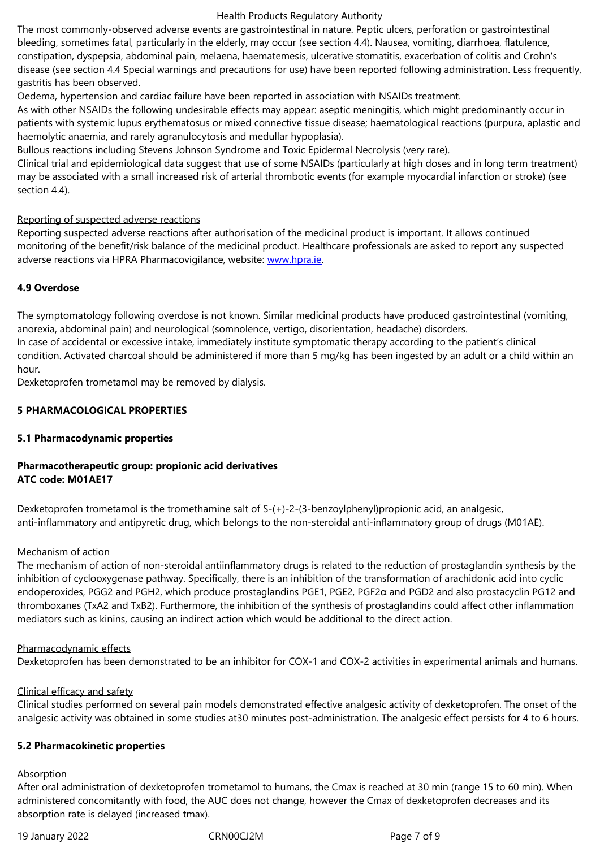constipation, dyspepsia, abdominal pain, melaena, haematemesis, ulcerative stomatitis, exacerbation of colitis and Crohn's disease (see section 4.4 Special warnings and precautions for use) have been reported following administration. Less frequently, gastritis has been observed.

Oedema, hypertension and cardiac failure have been reported in association with NSAIDs treatment.

As with other NSAIDs the following undesirable effects may appear: aseptic meningitis, which might predominantly occur in patients with systemic lupus erythematosus or mixed connective tissue disease; haematological reactions (purpura, aplastic and haemolytic anaemia, and rarely agranulocytosis and medullar hypoplasia).

Bullous reactions including Stevens Johnson Syndrome and Toxic Epidermal Necrolysis (very rare).

Clinical trial and epidemiological data suggest that use of some NSAIDs (particularly at high doses and in long term treatment) may be associated with a small increased risk of arterial thrombotic events (for example myocardial infarction or stroke) (see section 4.4).

#### Reporting of suspected adverse reactions

Reporting suspected adverse reactions after authorisation of the medicinal product is important. It allows continued monitoring of the benefit/risk balance of the medicinal product. Healthcare professionals are asked to report any suspected adverse reactions via HPRA Pharmacovigilance, website: www.hpra.ie.

# **4.9 Overdose**

The symptomatology following overdose is not known. [Similar medic](http://www.hpra.ie/)inal products have produced gastrointestinal (vomiting, anorexia, abdominal pain) and neurological (somnolence, vertigo, disorientation, headache) disorders. In case of accidental or excessive intake, immediately institute symptomatic therapy according to the patient's clinical condition. Activated charcoal should be administered if more than 5 mg/kg has been ingested by an adult or a child within an hour.

Dexketoprofen trometamol may be removed by dialysis.

# **5 PHARMACOLOGICAL PROPERTIES**

# **5.1 Pharmacodynamic properties**

# **Pharmacotherapeutic group: propionic acid derivatives ATC code: M01AE17**

Dexketoprofen trometamol is the tromethamine salt of S-(+)-2-(3-benzoylphenyl)propionic acid, an analgesic, anti-inflammatory and antipyretic drug, which belongs to the non-steroidal anti-inflammatory group of drugs (M01AE).

#### Mechanism of action

The mechanism of action of non-steroidal antiinflammatory drugs is related to the reduction of prostaglandin synthesis by the inhibition of cyclooxygenase pathway. Specifically, there is an inhibition of the transformation of arachidonic acid into cyclic endoperoxides, PGG2 and PGH2, which produce prostaglandins PGE1, PGE2, PGF2α and PGD2 and also prostacyclin PG12 and thromboxanes (TxA2 and TxB2). Furthermore, the inhibition of the synthesis of prostaglandins could affect other inflammation mediators such as kinins, causing an indirect action which would be additional to the direct action.

#### Pharmacodynamic effects

Dexketoprofen has been demonstrated to be an inhibitor for COX-1 and COX-2 activities in experimental animals and humans.

#### Clinical efficacy and safety

Clinical studies performed on several pain models demonstrated effective analgesic activity of dexketoprofen. The onset of the analgesic activity was obtained in some studies at30 minutes post-administration. The analgesic effect persists for 4 to 6 hours.

#### **5.2 Pharmacokinetic properties**

#### Absorption

After oral administration of dexketoprofen trometamol to humans, the Cmax is reached at 30 min (range 15 to 60 min). When administered concomitantly with food, the AUC does not change, however the Cmax of dexketoprofen decreases and its absorption rate is delayed (increased tmax).

19 January 2022 CRN00CJ2M Page 7 of 9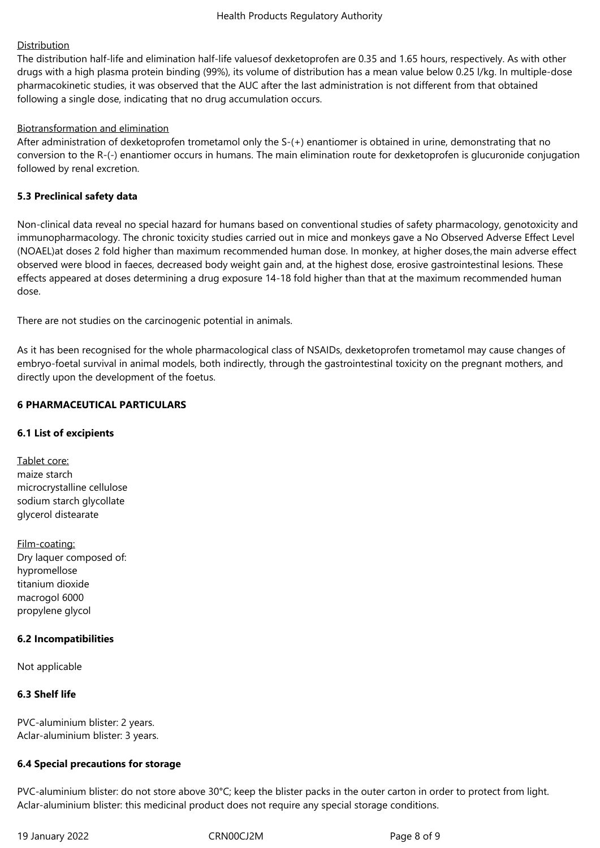# Distribution

The distribution half-life and elimination half-life valuesof dexketoprofen are 0.35 and 1.65 hours, respectively. As with other drugs with a high plasma protein binding (99%), its volume of distribution has a mean value below 0.25 l/kg. In multiple-dose pharmacokinetic studies, it was observed that the AUC after the last administration is not different from that obtained following a single dose, indicating that no drug accumulation occurs.

# Biotransformation and elimination

After administration of dexketoprofen trometamol only the S-(+) enantiomer is obtained in urine, demonstrating that no conversion to the R-(-) enantiomer occurs in humans. The main elimination route for dexketoprofen is glucuronide conjugation followed by renal excretion.

# **5.3 Preclinical safety data**

Non-clinical data reveal no special hazard for humans based on conventional studies of safety pharmacology, genotoxicity and immunopharmacology. The chronic toxicity studies carried out in mice and monkeys gave a No Observed Adverse Effect Level (NOAEL)at doses 2 fold higher than maximum recommended human dose. In monkey, at higher doses,the main adverse effect observed were blood in faeces, decreased body weight gain and, at the highest dose, erosive gastrointestinal lesions. These effects appeared at doses determining a drug exposure 14-18 fold higher than that at the maximum recommended human dose.

There are not studies on the carcinogenic potential in animals.

As it has been recognised for the whole pharmacological class of NSAIDs, dexketoprofen trometamol may cause changes of embryo-foetal survival in animal models, both indirectly, through the gastrointestinal toxicity on the pregnant mothers, and directly upon the development of the foetus.

# **6 PHARMACEUTICAL PARTICULARS**

# **6.1 List of excipients**

Tablet core: maize starch microcrystalline cellulose sodium starch glycollate glycerol distearate

Film-coating: Dry laquer composed of: hypromellose titanium dioxide macrogol 6000 propylene glycol

#### **6.2 Incompatibilities**

Not applicable

# **6.3 Shelf life**

PVC-aluminium blister: 2 years. Aclar-aluminium blister: 3 years.

# **6.4 Special precautions for storage**

PVC-aluminium blister: do not store above 30°C; keep the blister packs in the outer carton in order to protect from light. Aclar-aluminium blister: this medicinal product does not require any special storage conditions.